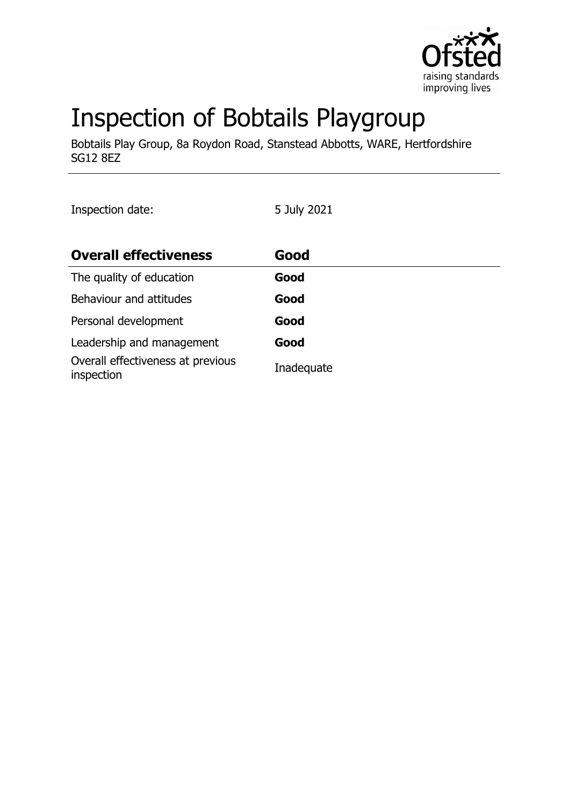

# Inspection of Bobtails Playgroup

Bobtails Play Group, 8a Roydon Road, Stanstead Abbotts, WARE, Hertfordshire SG12 8EZ

Inspection date: 5 July 2021

| <b>Overall effectiveness</b>                    | Good       |
|-------------------------------------------------|------------|
| The quality of education                        | Good       |
| Behaviour and attitudes                         | Good       |
| Personal development                            | Good       |
| Leadership and management                       | Good       |
| Overall effectiveness at previous<br>inspection | Inadequate |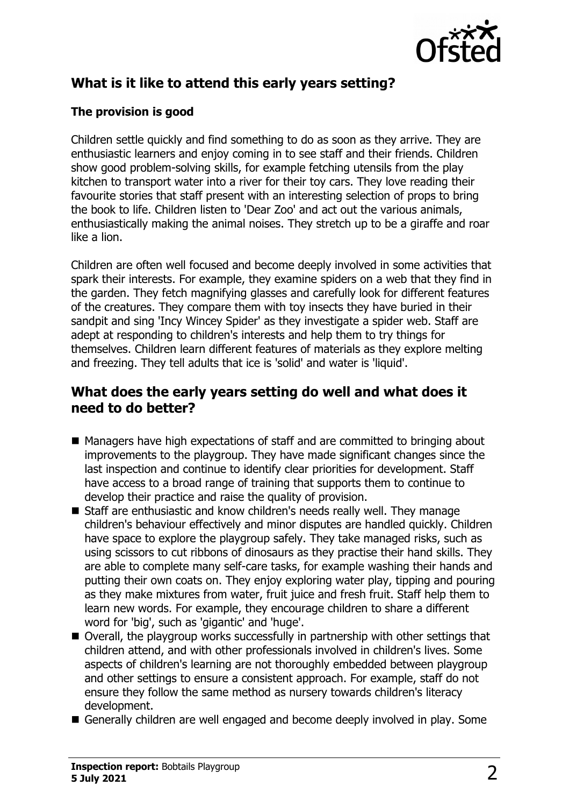

# **What is it like to attend this early years setting?**

#### **The provision is good**

Children settle quickly and find something to do as soon as they arrive. They are enthusiastic learners and enjoy coming in to see staff and their friends. Children show good problem-solving skills, for example fetching utensils from the play kitchen to transport water into a river for their toy cars. They love reading their favourite stories that staff present with an interesting selection of props to bring the book to life. Children listen to 'Dear Zoo' and act out the various animals, enthusiastically making the animal noises. They stretch up to be a giraffe and roar like a lion.

Children are often well focused and become deeply involved in some activities that spark their interests. For example, they examine spiders on a web that they find in the garden. They fetch magnifying glasses and carefully look for different features of the creatures. They compare them with toy insects they have buried in their sandpit and sing 'Incy Wincey Spider' as they investigate a spider web. Staff are adept at responding to children's interests and help them to try things for themselves. Children learn different features of materials as they explore melting and freezing. They tell adults that ice is 'solid' and water is 'liquid'.

## **What does the early years setting do well and what does it need to do better?**

- Managers have high expectations of staff and are committed to bringing about improvements to the playgroup. They have made significant changes since the last inspection and continue to identify clear priorities for development. Staff have access to a broad range of training that supports them to continue to develop their practice and raise the quality of provision.
- Staff are enthusiastic and know children's needs really well. They manage children's behaviour effectively and minor disputes are handled quickly. Children have space to explore the playgroup safely. They take managed risks, such as using scissors to cut ribbons of dinosaurs as they practise their hand skills. They are able to complete many self-care tasks, for example washing their hands and putting their own coats on. They enjoy exploring water play, tipping and pouring as they make mixtures from water, fruit juice and fresh fruit. Staff help them to learn new words. For example, they encourage children to share a different word for 'big', such as 'gigantic' and 'huge'.
- $\blacksquare$  Overall, the playgroup works successfully in partnership with other settings that children attend, and with other professionals involved in children's lives. Some aspects of children's learning are not thoroughly embedded between playgroup and other settings to ensure a consistent approach. For example, staff do not ensure they follow the same method as nursery towards children's literacy development.
- Generally children are well engaged and become deeply involved in play. Some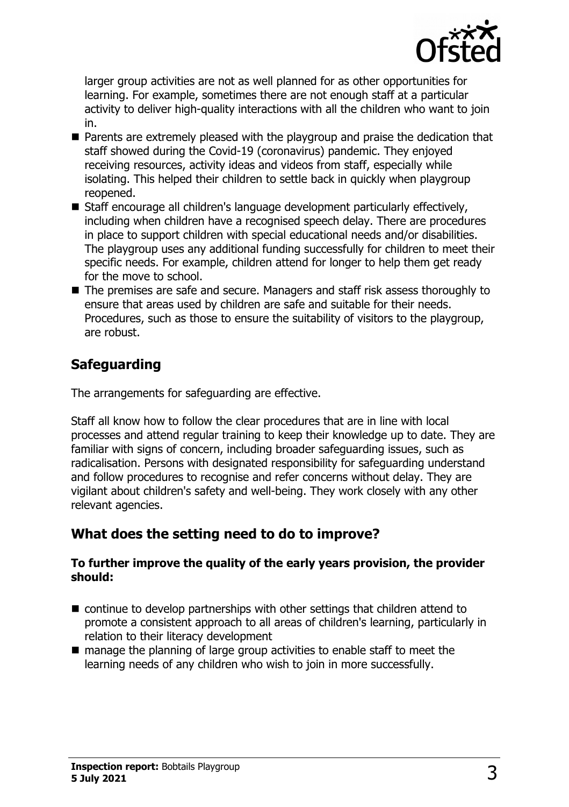

larger group activities are not as well planned for as other opportunities for learning. For example, sometimes there are not enough staff at a particular activity to deliver high-quality interactions with all the children who want to join in.

- $\blacksquare$  Parents are extremely pleased with the playgroup and praise the dedication that staff showed during the Covid-19 (coronavirus) pandemic. They enjoyed receiving resources, activity ideas and videos from staff, especially while isolating. This helped their children to settle back in quickly when playgroup reopened.
- Staff encourage all children's language development particularly effectively, including when children have a recognised speech delay. There are procedures in place to support children with special educational needs and/or disabilities. The playgroup uses any additional funding successfully for children to meet their specific needs. For example, children attend for longer to help them get ready for the move to school.
- The premises are safe and secure. Managers and staff risk assess thoroughly to ensure that areas used by children are safe and suitable for their needs. Procedures, such as those to ensure the suitability of visitors to the playgroup, are robust.

# **Safeguarding**

The arrangements for safeguarding are effective.

Staff all know how to follow the clear procedures that are in line with local processes and attend regular training to keep their knowledge up to date. They are familiar with signs of concern, including broader safeguarding issues, such as radicalisation. Persons with designated responsibility for safeguarding understand and follow procedures to recognise and refer concerns without delay. They are vigilant about children's safety and well-being. They work closely with any other relevant agencies.

# **What does the setting need to do to improve?**

#### **To further improve the quality of the early years provision, the provider should:**

- $\blacksquare$  continue to develop partnerships with other settings that children attend to promote a consistent approach to all areas of children's learning, particularly in relation to their literacy development
- $\blacksquare$  manage the planning of large group activities to enable staff to meet the learning needs of any children who wish to join in more successfully.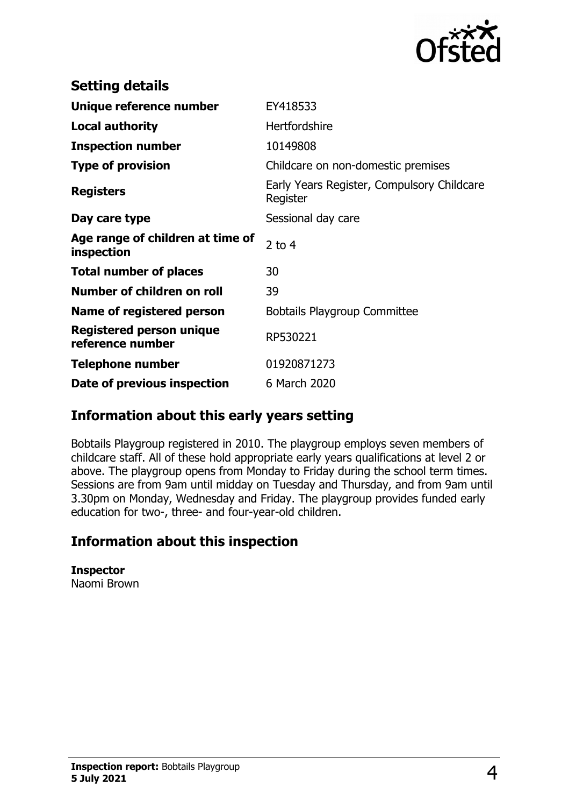

| <b>Setting details</b>                         |                                                        |
|------------------------------------------------|--------------------------------------------------------|
| Unique reference number                        | EY418533                                               |
| <b>Local authority</b>                         | Hertfordshire                                          |
| <b>Inspection number</b>                       | 10149808                                               |
| <b>Type of provision</b>                       | Childcare on non-domestic premises                     |
| <b>Registers</b>                               | Early Years Register, Compulsory Childcare<br>Register |
| Day care type                                  | Sessional day care                                     |
| Age range of children at time of<br>inspection | 2 to $4$                                               |
| <b>Total number of places</b>                  | 30                                                     |
| Number of children on roll                     | 39                                                     |
| Name of registered person                      | <b>Bobtails Playgroup Committee</b>                    |
| Registered person unique<br>reference number   | RP530221                                               |
| <b>Telephone number</b>                        | 01920871273                                            |
| Date of previous inspection                    | 6 March 2020                                           |

## **Information about this early years setting**

Bobtails Playgroup registered in 2010. The playgroup employs seven members of childcare staff. All of these hold appropriate early years qualifications at level 2 or above. The playgroup opens from Monday to Friday during the school term times. Sessions are from 9am until midday on Tuesday and Thursday, and from 9am until 3.30pm on Monday, Wednesday and Friday. The playgroup provides funded early education for two-, three- and four-year-old children.

## **Information about this inspection**

**Inspector** Naomi Brown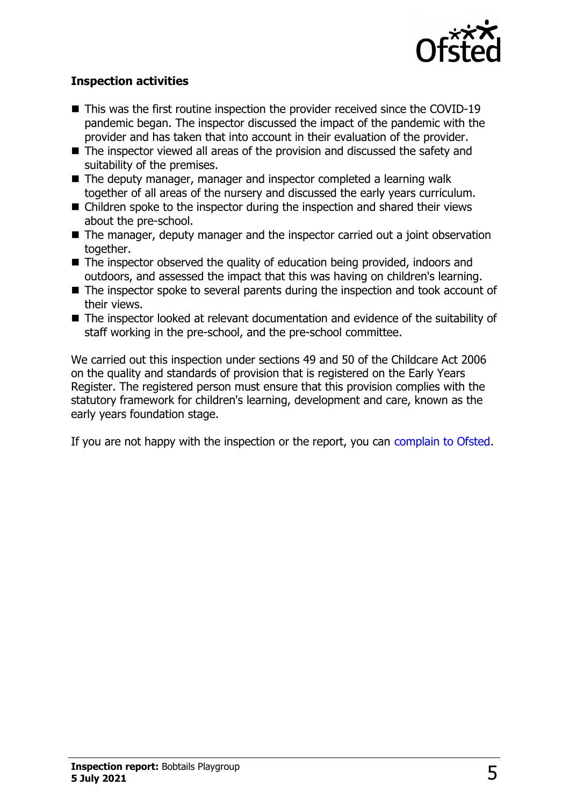

#### **Inspection activities**

- $\blacksquare$  This was the first routine inspection the provider received since the COVID-19 pandemic began. The inspector discussed the impact of the pandemic with the provider and has taken that into account in their evaluation of the provider.
- $\blacksquare$  The inspector viewed all areas of the provision and discussed the safety and suitability of the premises.
- The deputy manager, manager and inspector completed a learning walk together of all areas of the nursery and discussed the early years curriculum.
- $\blacksquare$  Children spoke to the inspector during the inspection and shared their views about the pre-school.
- $\blacksquare$  The manager, deputy manager and the inspector carried out a joint observation together.
- $\blacksquare$  The inspector observed the quality of education being provided, indoors and outdoors, and assessed the impact that this was having on children's learning.
- $\blacksquare$  The inspector spoke to several parents during the inspection and took account of their views.
- $\blacksquare$  The inspector looked at relevant documentation and evidence of the suitability of staff working in the pre-school, and the pre-school committee.

We carried out this inspection under sections 49 and 50 of the Childcare Act 2006 on the quality and standards of provision that is registered on the Early Years Register. The registered person must ensure that this provision complies with the statutory framework for children's learning, development and care, known as the early years foundation stage.

If you are not happy with the inspection or the report, you can [complain to Ofsted.](http://www.gov.uk/complain-ofsted-report)